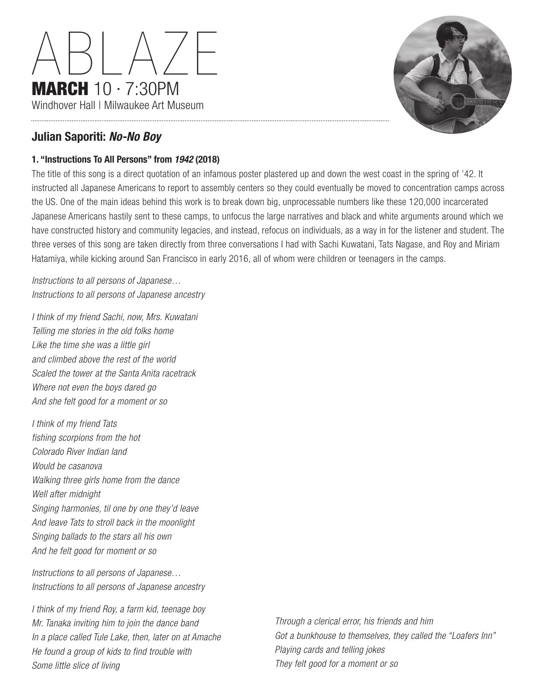



# Julian Saporiti: *No-No Boy*

## 1. "Instructions To All Persons" from *1942* (2018)

The title of this song is a direct quotation of an infamous poster plastered up and down the west coast in the spring of '42. It instructed all Japanese Americans to report to assembly centers so they could eventually be moved to concentration camps across the US. One of the main ideas behind this work is to break down big, unprocessable numbers like these 120,000 incarcerated Japanese Americans hastily sent to these camps, to unfocus the large narratives and black and white arguments around which we have constructed history and community legacies, and instead, refocus on individuals, as a way in for the listener and student. The three verses of this song are taken directly from three conversations I had with Sachi Kuwatani, Tats Nagase, and Roy and Miriam Hatamiya, while kicking around San Francisco in early 2016, all of whom were children or teenagers in the camps.

*Instructions to all persons of Japanese… Instructions to all persons of Japanese ancestry*

*I think of my friend Sachi, now, Mrs. Kuwatani Telling me stories in the old folks home Like the time she was a little girl and climbed above the rest of the world Scaled the tower at the Santa Anita racetrack Where not even the boys dared go And she felt good for a moment or so*

*I think of my friend Tats fishing scorpions from the hot Colorado River Indian land Would be casanova Walking three girls home from the dance Well after midnight Singing harmonies, til one by one they'd leave And leave Tats to stroll back in the moonlight Singing ballads to the stars all his own And he felt good for moment or so*

*Instructions to all persons of Japanese… Instructions to all persons of Japanese ancestry*

*I think of my friend Roy, a farm kid, teenage boy Mr. Tanaka inviting him to join the dance band In a place called Tule Lake, then, later on at Amache He found a group of kids to find trouble with Some little slice of living*

*Through a clerical error, his friends and him Got a bunkhouse to themselves, they called the "Loafers Inn" Playing cards and telling jokes They felt good for a moment or so*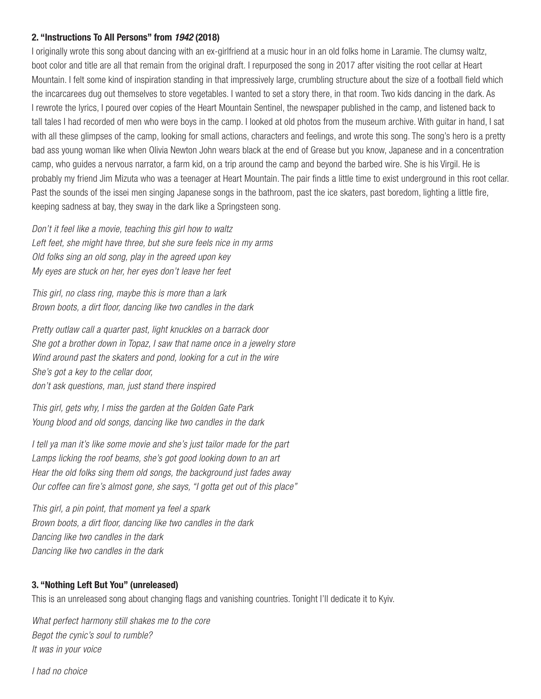#### 2. "Instructions To All Persons" from *1942* (2018)

I originally wrote this song about dancing with an ex-girlfriend at a music hour in an old folks home in Laramie. The clumsy waltz, boot color and title are all that remain from the original draft. I repurposed the song in 2017 after visiting the root cellar at Heart Mountain. I felt some kind of inspiration standing in that impressively large, crumbling structure about the size of a football field which the incarcarees dug out themselves to store vegetables. I wanted to set a story there, in that room. Two kids dancing in the dark. As I rewrote the lyrics, I poured over copies of the Heart Mountain Sentinel, the newspaper published in the camp, and listened back to tall tales I had recorded of men who were boys in the camp. I looked at old photos from the museum archive. With guitar in hand, I sat with all these glimpses of the camp, looking for small actions, characters and feelings, and wrote this song. The song's hero is a pretty bad ass young woman like when Olivia Newton John wears black at the end of Grease but you know, Japanese and in a concentration camp, who guides a nervous narrator, a farm kid, on a trip around the camp and beyond the barbed wire. She is his Virgil. He is probably my friend Jim Mizuta who was a teenager at Heart Mountain. The pair finds a little time to exist underground in this root cellar. Past the sounds of the issei men singing Japanese songs in the bathroom, past the ice skaters, past boredom, lighting a little fire, keeping sadness at bay, they sway in the dark like a Springsteen song.

*Don't it feel like a movie, teaching this girl how to waltz Left feet, she might have three, but she sure feels nice in my arms Old folks sing an old song, play in the agreed upon key My eyes are stuck on her, her eyes don't leave her feet*

*This girl, no class ring, maybe this is more than a lark Brown boots, a dirt floor, dancing like two candles in the dark*

*Pretty outlaw call a quarter past, light knuckles on a barrack door She got a brother down in Topaz, I saw that name once in a jewelry store Wind around past the skaters and pond, looking for a cut in the wire She's got a key to the cellar door, don't ask questions, man, just stand there inspired*

*This girl, gets why, I miss the garden at the Golden Gate Park Young blood and old songs, dancing like two candles in the dark*

*I tell ya man it's like some movie and she's just tailor made for the part Lamps licking the roof beams, she's got good looking down to an art Hear the old folks sing them old songs, the background just fades away Our coffee can fire's almost gone, she says, "I gotta get out of this place"* 

*This girl, a pin point, that moment ya feel a spark Brown boots, a dirt floor, dancing like two candles in the dark Dancing like two candles in the dark Dancing like two candles in the dark*

### 3. "Nothing Left But You" (unreleased)

This is an unreleased song about changing flags and vanishing countries. Tonight I'll dedicate it to Kyiv.

*What perfect harmony still shakes me to the core Begot the cynic's soul to rumble? It was in your voice* 

*I had no choice*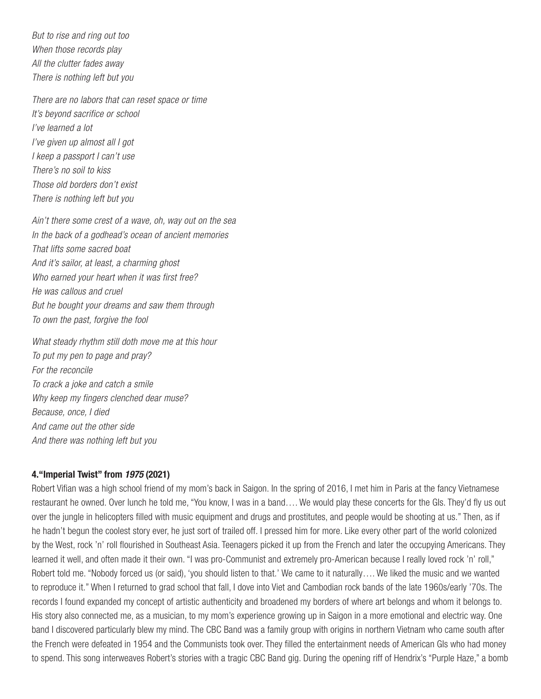*But to rise and ring out too When those records play All the clutter fades away There is nothing left but you* 

*There are no labors that can reset space or time It's beyond sacrifice or school I've learned a lot I've given up almost all I got I keep a passport I can't use There's no soil to kiss Those old borders don't exist There is nothing left but you* 

*Ain't there some crest of a wave, oh, way out on the sea In the back of a godhead's ocean of ancient memories That lifts some sacred boat And it's sailor, at least, a charming ghost Who earned your heart when it was first free? He was callous and cruel But he bought your dreams and saw them through To own the past, forgive the fool*

*What steady rhythm still doth move me at this hour To put my pen to page and pray? For the reconcile To crack a joke and catch a smile Why keep my fingers clenched dear muse? Because, once, I died And came out the other side And there was nothing left but you*

#### 4."Imperial Twist" from *1975* (2021)

Robert Vifian was a high school friend of my mom's back in Saigon. In the spring of 2016, I met him in Paris at the fancy Vietnamese restaurant he owned. Over lunch he told me, "You know, I was in a band…. We would play these concerts for the GIs. They'd fly us out over the jungle in helicopters filled with music equipment and drugs and prostitutes, and people would be shooting at us." Then, as if he hadn't begun the coolest story ever, he just sort of trailed off. I pressed him for more. Like every other part of the world colonized by the West, rock 'n' roll flourished in Southeast Asia. Teenagers picked it up from the French and later the occupying Americans. They learned it well, and often made it their own. "I was pro-Communist and extremely pro-American because I really loved rock 'n' roll," Robert told me. "Nobody forced us (or said), 'you should listen to that.' We came to it naturally…. We liked the music and we wanted to reproduce it." When I returned to grad school that fall, I dove into Viet and Cambodian rock bands of the late 1960s/early '70s. The records I found expanded my concept of artistic authenticity and broadened my borders of where art belongs and whom it belongs to. His story also connected me, as a musician, to my mom's experience growing up in Saigon in a more emotional and electric way. One band I discovered particularly blew my mind. The CBC Band was a family group with origins in northern Vietnam who came south after the French were defeated in 1954 and the Communists took over. They filled the entertainment needs of American GIs who had money to spend. This song interweaves Robert's stories with a tragic CBC Band gig. During the opening riff of Hendrix's "Purple Haze," a bomb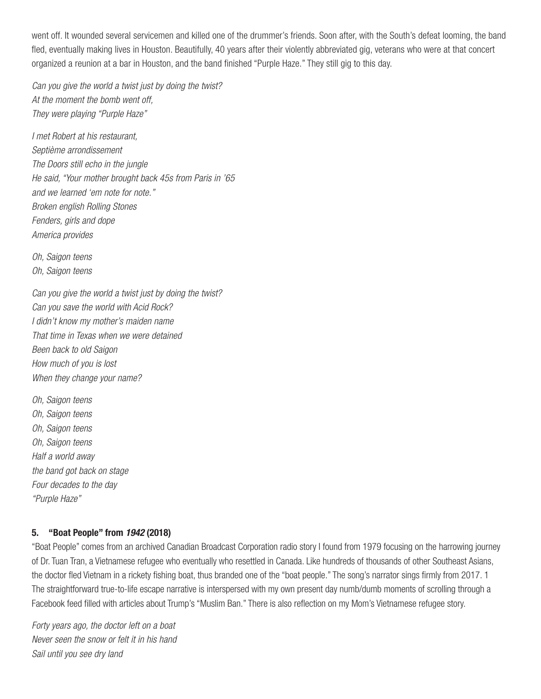went off. It wounded several servicemen and killed one of the drummer's friends. Soon after, with the South's defeat looming, the band fled, eventually making lives in Houston. Beautifully, 40 years after their violently abbreviated gig, veterans who were at that concert organized a reunion at a bar in Houston, and the band finished "Purple Haze." They still gig to this day.

*Can you give the world a twist just by doing the twist? At the moment the bomb went off, They were playing "Purple Haze"*

*I met Robert at his restaurant, Septième arrondissement The Doors still echo in the jungle He said, "Your mother brought back 45s from Paris in '65 and we learned 'em note for note." Broken english Rolling Stones Fenders, girls and dope America provides*

*Oh, Saigon teens Oh, Saigon teens*

*Can you give the world a twist just by doing the twist? Can you save the world with Acid Rock? I didn't know my mother's maiden name That time in Texas when we were detained Been back to old Saigon How much of you is lost When they change your name?*

*Oh, Saigon teens Oh, Saigon teens Oh, Saigon teens Oh, Saigon teens Half a world away the band got back on stage Four decades to the day "Purple Haze"* 

### 5. "Boat People" from *1942* (2018)

"Boat People" comes from an archived Canadian Broadcast Corporation radio story I found from 1979 focusing on the harrowing journey of Dr. Tuan Tran, a Vietnamese refugee who eventually who resettled in Canada. Like hundreds of thousands of other Southeast Asians, the doctor fled Vietnam in a rickety fishing boat, thus branded one of the "boat people." The song's narrator sings firmly from 2017. 1 The straightforward true-to-life escape narrative is interspersed with my own present day numb/dumb moments of scrolling through a Facebook feed filled with articles about Trump's "Muslim Ban." There is also reflection on my Mom's Vietnamese refugee story.

*Forty years ago, the doctor left on a boat Never seen the snow or felt it in his hand Sail until you see dry land*